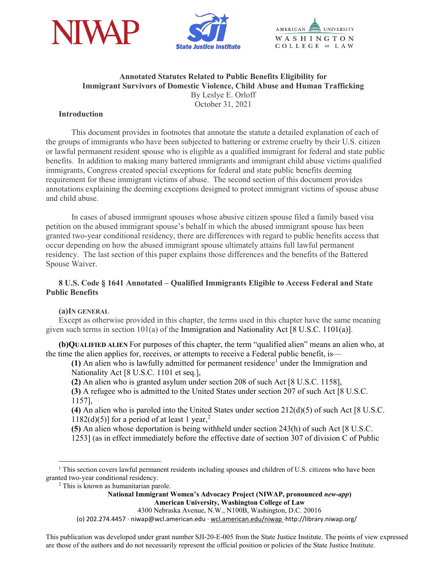





# **Annotated Statutes Related to Public Benefits Eligibility for Immigrant Survivors of Domestic Violence, Child Abuse and Human Trafficking** By Leslye E. Orloff October 31, 2021

# **Introduction**

This document provides in footnotes that annotate the statute a detailed explanation of each of the groups of immigrants who have been subjected to battering or extreme cruelty by their U.S. citizen or lawful permanent resident spouse who is eligible as a qualified immigrant for federal and state public benefits. In addition to making many battered immigrants and immigrant child abuse victims qualified immigrants, Congress created special exceptions for federal and state public benefits deeming requirement for these immigrant victims of abuse. The second section of this document provides annotations explaining the deeming exceptions designed to protect immigrant victims of spouse abuse and child abuse.

In cases of abused immigrant spouses whose abusive citizen spouse filed a family based visa petition on the abused immigrant spouse's behalf in which the abused immigrant spouse has been granted two-year conditional residency, there are differences with regard to public benefits access that occur depending on how the abused immigrant spouse ultimately attains full lawful permanent residency. The last section of this paper explains those differences and the benefits of the Battered Spouse Waiver.

# **8 U.S. Code § 1641 Annotated – Qualified Immigrants Eligible to Access Federal and State Public Benefits**

# **(a)IN GENERAL**

Except as otherwise provided in this chapter, the terms used in this chapter have the same meaning given such terms in section  $101(a)$  of the Immigration and Nationality Act [\[8 U.S.C. 1101\(a\)\]](https://www.law.cornell.edu/uscode/text/8/1101#a).

**(b)QUALIFIED ALIEN** For purposes of this chapter, the term "qualified alien" means an alien who, at the time the alien applies for, receives, or attempts to receive a Federal public benefit, is—

 $(1)$  $(1)$  $(1)$  An alien who is lawfully admitted for permanent residence<sup>1</sup> under the Immigration and Nationality Act [8 U.S.C. 1101 et seq.],

**(2)** An alien who is granted asylum under section 208 of such Act [8 U.S.C. 1158],

**(3)** A refugee who is admitted to the United States under section 207 of such Act [8 U.S.C. 1157],

**(4)** An alien who is paroled into the United States under section 212(d)(5) of such Act [8 U.S.C. 118[2](#page-0-1)(d)(5)] for a period of at least 1 year,<sup>2</sup>

**(5)** An alien whose deportation is being withheld under section 243(h) of such Act [8 U.S.C.

1253] (as in effect immediately before the effective date of section 307 of division C of Public

This publication was developed under grant number SJI-20-E-005 from the State Justice Institute. The points of view expressed are those of the authors and do not necessarily represent the official position or policies of the State Justice Institute.

<span id="page-0-1"></span><span id="page-0-0"></span><sup>&</sup>lt;sup>1</sup> This section covers lawful permanent residents including spouses and children of U.S. citizens who have been granted two-year conditional residency.

 $2$  This is known as humanitarian parole.

**National Immigrant Women's Advocacy Project (NIWAP, pronounced** *new-app***) American University, Washington College of Law**

<sup>4300</sup> Nebraska Avenue, N.W., N100B, Washington, D.C. 20016

<sup>(</sup>o) 202.274.4457 · niwap@wcl.american.edu · wcl.american.edu/niwap ·http://library.niwap.org/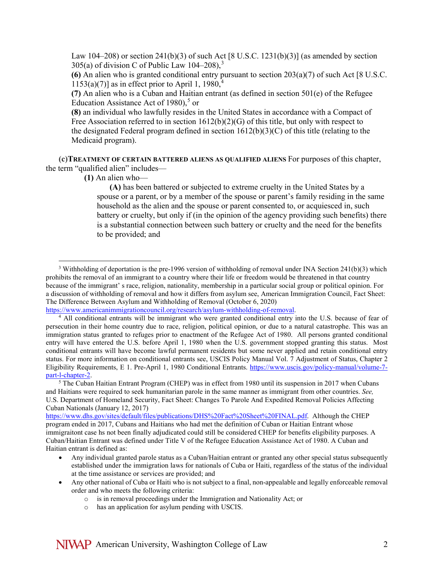Law  $104-208$ ) or section  $241(b)(3)$  of such Act [8 U.S.C. 1231(b)(3)] (as amended by section [3](#page-1-0)05(a) of division C of Public Law  $104-208$ ,<sup>3</sup>

**(6)** An alien who is granted conditional entry pursuant to section 203(a)(7) of such Act [\[8 U.S.C.](https://www.law.cornell.edu/uscode/text/8/1153#a_7)  [1153\(a\)\(7\)\]](https://www.law.cornell.edu/uscode/text/8/1153#a_7) as in effect prior to April 1, 1980,<sup>[4](#page-1-1)</sup>

**(7)** An alien who is a Cuban and Haitian entrant (as defined in section 501(e) of the Refugee Education Assistance Act of 1980),<sup>[5](#page-1-2)</sup> or

**(8)** an individual who lawfully resides in the United States in accordance with a Compact of Free Association referred to in section  $1612(b)(2)(G)$  of this title, but only with respect to the designated Federal program defined in section  $1612(b)(3)(C)$  of this title (relating to the Medicaid program).

**(c)TREATMENT OF CERTAIN BATTERED ALIENS AS QUALIFIED ALIENS** For purposes of this chapter, the term "qualified alien" includes—

**(1)** An alien who—

**(A)** has been battered or subjected to extreme cruelty in the United States by a spouse or a parent, or by a member of the spouse or parent's family residing in the same household as the alien and the spouse or parent consented to, or acquiesced in, such battery or cruelty, but only if (in the opinion of the agency providing such benefits) there is a substantial connection between such battery or cruelty and the need for the benefits to be provided; and

<span id="page-1-0"></span><sup>&</sup>lt;sup>3</sup> Withholding of deportation is the pre-1996 version of withholding of removal under INA Section 241(b)(3) which prohibits the removal of an immigrant to a country where their life or freedom would be threatened in that country because of the immigrant' s race, religion, nationality, membership in a particular social group or political opinion. For a discussion of withholding of removal and how it differs from asylum see, American Immigration Council, Fact Sheet: The Difference Between Asylum and Withholding of Removal (October 6, 2020)

[https://www.americanimmigrationcouncil.org/research/asylum-withholding-of-removal.](https://www.americanimmigrationcouncil.org/research/asylum-withholding-of-removal)

<span id="page-1-1"></span><sup>4</sup> All conditional entrants will be immigrant who were granted conditional entry into the U.S. because of fear of persecution in their home country due to race, religion, political opinion, or due to a natural catastrophe. This was an immigration status granted to refuges prior to enactment of the Refugee Act of 1980. All persons granted conditional entry will have entered the U.S. before April 1, 1980 when the U.S. government stopped granting this status. Most conditional entrants will have become lawful permanent residents but some never applied and retain conditional entry status. For more information on conditional entrants see, USCIS Policy Manual Vol. 7 Adjustment of Status, Chapter 2 Eligibility Requirements, E 1. Pre-April 1, 1980 Conditional Entrants. [https://www.uscis.gov/policy-manual/volume-7](https://www.uscis.gov/policy-manual/volume-7-part-l-chapter-2) [part-l-chapter-2.](https://www.uscis.gov/policy-manual/volume-7-part-l-chapter-2)

<span id="page-1-2"></span> $5$  The Cuban Haitian Entrant Program (CHEP) was in effect from 1980 until its suspension in 2017 when Cubans and Haitians were required to seek humanitarian parole in the same manner as immigrant from other countries. *See,* U.S. Department of Homeland Security, Fact Sheet: Changes To Parole And Expedited Removal Policies Affecting Cuban Nationals (January 12, 2017)

[https://www.dhs.gov/sites/default/files/publications/DHS%20Fact%20Sheet%20FINAL.pdf.](https://www.dhs.gov/sites/default/files/publications/DHS%20Fact%20Sheet%20FINAL.pdf) Although the CHEP program ended in 2017, Cubans and Haitians who had met the definition of Cuban or Haitian Entrant whose immigraitont case hs not been finally adjudicated could still be considered CHEP for benefits eligibility purposes. A Cuban/Haitian Entrant was defined under Title V of the Refugee Education Assistance Act of 1980. A Cuban and Haitian entrant is defined as:

<sup>•</sup> Any individual granted parole status as a Cuban/Haitian entrant or granted any other special status subsequently established under the immigration laws for nationals of Cuba or Haiti, regardless of the status of the individual at the time assistance or services are provided; and

<sup>•</sup> Any other national of Cuba or Haiti who is not subject to a final, non-appealable and legally enforceable removal order and who meets the following criteria:

o is in removal proceedings under the Immigration and Nationality Act; or

has an application for asylum pending with USCIS.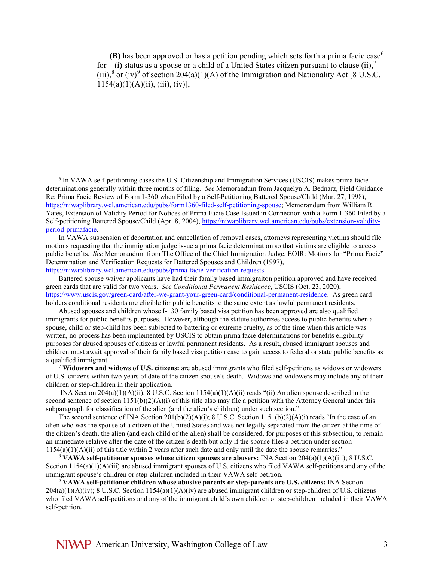**(B)** has been approved or has a petition pending which sets forth a prima facie case<sup>[6](#page-2-0)</sup> for—**(i)** status as a spouse or a child of a United States citizen pursuant to clause (ii),<sup>[7](#page-2-1)</sup> (iii),<sup>[8](#page-2-2)</sup> or (iv)<sup>[9](#page-2-3)</sup> of section 204(a)(1)(A) of the Immigration and Nationality Act [8 U.S.C.  $1154(a)(1)(A)(ii)$ , (iii), (iv)],

In VAWA suspension of deportation and cancellation of removal cases, attorneys representing victims should file motions requesting that the immigration judge issue a prima facie determination so that victims are eligible to access public benefits. *See* Memorandum from The Office of the Chief Immigration Judge, EOIR: Motions for "Prima Facie" Determination and Verification Requests for Battered Spouses and Children (1997), [https://niwaplibrary.wcl.american.edu/pubs/prima-facie-verification-requests.](https://niwaplibrary.wcl.american.edu/pubs/prima-facie-verification-requests)

Battered spouse waiver applicants have had their family based immigraiton petition approved and have received green cards that are valid for two years. *See Conditional Permanent Residence*, USCIS (Oct. 23, 2020), [https://www.uscis.gov/green-card/after-we-grant-your-green-card/conditional-permanent-residence.](https://www.uscis.gov/green-card/after-we-grant-your-green-card/conditional-permanent-residence) As green card holders conditional residents are eligible for public benefits to the same extent as lawful permanent residents.

Abused spouses and children whose I-130 family based visa petition has been approved are also qualified immigrants for public benefits purposes. However, although the statute authorizes access to public benefits when a spouse, child or step-child has been subjected to battering or extreme cruelty, as of the time when this article was written, no process has been implemented by USCIS to obtain prima facie determinations for benefits eligibility purposes for abused spouses of citizens or lawful permanent residents. As a result, abused immigrant spouses and children must await approval of their family based visa petition case to gain access to federal or state public benefits as a qualified immigrant. 7 **Widowers and widows of U.S. citizens:** are abused immigrants who filed self-petitions as widows or widowers

<span id="page-2-1"></span>of U.S. citizens within two years of date of the citizen spouse's death. Widows and widowers may include any of their children or step-children in their application.

INA Section 204(a)(1)(A)(ii); 8 U.S.C. Section 1154(a)(1)(A)(ii) reads "(ii) An alien spouse described in the second sentence of section  $1151(b)(2)(A)(i)$  of this title also may file a petition with the Attorney General under this subparagraph for classification of the alien (and the alien's children) under such section."

The second sentence of INA Section  $201(b)(2)(A)(i)$ ; 8 U.S.C. Section  $1151(b)(2)(A)(i)$  reads "In the case of an alien who was the spouse of a citizen of the United States and was not legally separated from the citizen at the time of the citizen's death, the alien (and each child of the alien) shall be considered, for purposes of this subsection, to remain an immediate relative after the date of the citizen's death but only if the spouse files a petition under section  $1154(a)(1)(A)(ii)$  of this title within 2 years after such date and only until the date the spouse remarries."

<span id="page-2-2"></span><sup>8</sup> **VAWA self-petitioner spouses whose citizen spouses are abusers:** INA Section 204(a)(1)(A)(iii); 8 U.S.C. Section  $1154(a)(1)(A)(iii)$  are abused immigrant spouses of U.S. citizens who filed VAWA self-petitions and any of the immigrant spouse's children or step-children included in their VAWA self-petition.

<span id="page-2-3"></span><sup>9</sup> **VAWA self-petitioner children whose abusive parents or step-parents are U.S. citizens:** INA Section  $204(a)(1)(A)(iv)$ ; 8 U.S.C. Section  $1154(a)(1)(A)(iv)$  are abused immigrant children or step-children of U.S. citizens who filed VAWA self-petitions and any of the immigrant child's own children or step-children included in their VAWA self-petition.

<span id="page-2-0"></span> <sup>6</sup> In VAWA self-petitioning cases the U.S. Citizenship and Immigration Services (USCIS) makes prima facie determinations generally within three months of filing. *See* Memorandum from Jacquelyn A. Bednarz, Field Guidance Re: Prima Facie Review of Form 1-360 when Filed by a Self-Petitioning Battered Spouse/Child (Mar. 27, 1998), [https://niwaplibrary.wcl.american.edu/pubs/form1360-filed-self-petitioning-spouse;](https://niwaplibrary.wcl.american.edu/pubs/form1360-filed-self-petitioning-spouse) Memorandum from William R. Yates, Extension of Validity Period for Notices of Prima Facie Case Issued in Connection with a Form 1-360 Filed by a Self-petitioning Battered Spouse/Child (Apr. 8, 2004), [https://niwaplibrary.wcl.american.edu/pubs/extension-validity](https://niwaplibrary.wcl.american.edu/pubs/extension-validity-period-primafacie)[period-primafacie.](https://niwaplibrary.wcl.american.edu/pubs/extension-validity-period-primafacie)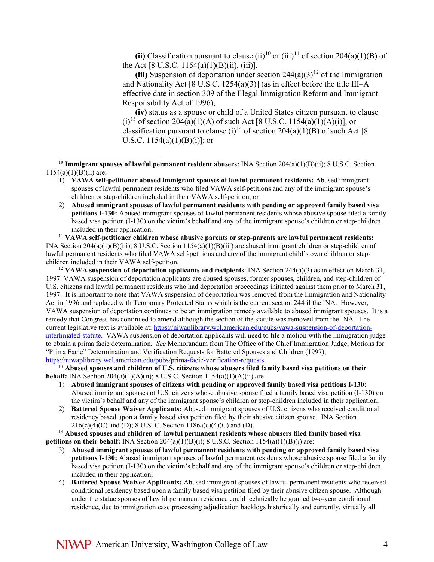(ii) Classification pursuant to clause (ii)<sup>[10](#page-3-0)</sup> or (iii)<sup>[11](#page-3-1)</sup> of section 204(a)(1)(B) of the Act [8 U.S.C.  $1154(a)(1)(B)(ii)$ , (iii)],

(iii) Suspension of deportation under section  $244(a)(3)^{12}$  $244(a)(3)^{12}$  $244(a)(3)^{12}$  of the Immigration and Nationality Act [8 U.S.C. 1254(a)(3)] (as in effect before the title III–A effective date in section 309 of the Illegal Immigration Reform and Immigrant Responsibility Act of 1996),

**(iv)** status as a spouse or child of a United States citizen pursuant to clause (i)<sup>[13](#page-3-3)</sup> of section 204(a)(1)(A) of such Act [8 U.S.C. 1154(a)(1)(A)(i)], or classification pursuant to clause (i)<sup>[14](#page-3-4)</sup> of section 204(a)(1)(B) of such Act [8] U.S.C.  $1154(a)(1)(B)(i)$ ; or

<span id="page-3-1"></span>INA Section 204(a)(1)(B)(iii); 8 U.S.C. Section 1154(a)(1)(B)(iii) are abused immigrant children or step-children of lawful permanent residents who filed VAWA self-petitions and any of the immigrant child's own children or stepchildren included in their VAWA self-petition.

<span id="page-3-2"></span><sup>12</sup> **VAWA suspension of deportation applicants and recipients**: INA Section 244(a)(3) as in effect on March 31, 1997. VAWA suspension of deportation applicants are abused spouses, former spouses, children, and step-children of U.S. citizens and lawful permanent residents who had deportation proceedings initiated against them prior to March 31, 1997. It is important to note that VAWA suspension of deportation was removed from the Immigration and Nationality Act in 1996 and replaced with Temporary Protected Status which is the current section 244 if the INA. However, VAWA suspension of deportation continues to be an immigration remedy available to abused immigrant spouses. It is a remedy that Congress has continued to amend although the section of the statute was removed from the INA. The current legislative text is available at: [https://niwaplibrary.wcl.american.edu/pubs/vawa-suspension-of-deportation](https://niwaplibrary.wcl.american.edu/pubs/vawa-suspension-of-deportation-interliniated-statute)[interliniated-statute.](https://niwaplibrary.wcl.american.edu/pubs/vawa-suspension-of-deportation-interliniated-statute) VAWA suspension of deportation applicants will need to file a motion with the immigration judge to obtain a prima facie determination. *See* Memorandum from The Office of the Chief Immigration Judge, Motions for "Prima Facie" Determination and Verification Requests for Battered Spouses and Children (1997), https://niwaplibrary.wcl.american.edu/pubs/prima-facie-verification-requests.

<span id="page-3-3"></span><sup>13</sup> Abused spouses and children of U.S. citizens whose abusers filed family based visa petitions on their **behalf:** INA Section 204(a)(1)(A)(ii); 8 U.S.C. Section 1154(a)(1)(A)(ii) are

- 1) **Abused immigrant spouses of citizens with pending or approved family based visa petitions I-130:**  Abused immigrant spouses of U.S. citizens whose abusive spouse filed a family based visa petition (I-130) on the victim's behalf and any of the immigrant spouse's children or step-children included in their application;
- 2) **Battered Spouse Waiver Applicants:** Abused immigrant spouses of U.S. citizens who received conditional residency based upon a family based visa petition filed by their abusive citizen spouse. INA Section  $216(c)(4)(C)$  and (D); 8 U.S. C. Section  $1186a(c)(4)(C)$  and (D).

<span id="page-3-4"></span><sup>14</sup> Abused spouses and children of lawful permanent residents whose abusers filed family based visa **petitions on their behalf:** INA Section 204(a)(1)(B)(i); 8 U.S.C. Section 1154(a)(1)(B)(i) are:

- 3) **Abused immigrant spouses of lawful permanent residents with pending or approved family based visa petitions I-130:** Abused immigrant spouses of lawful permanent residents whose abusive spouse filed a family based visa petition (I-130) on the victim's behalf and any of the immigrant spouse's children or step-children included in their application;
- 4) **Battered Spouse Waiver Applicants:** Abused immigrant spouses of lawful permanent residents who received conditional residency based upon a family based visa petition filed by their abusive citizen spouse. Although under the statue spouses of lawful permanent residence could technically be granted two-year conditional residence, due to immigration case processing adjudication backlogs historically and currently, virtually all

<span id="page-3-0"></span><sup>&</sup>lt;sup>10</sup> **Immigrant spouses of lawful permanent resident abusers:** INA Section 204(a)(1)(B)(ii); 8 U.S.C. Section  $1154(a)(1)(B)(ii)$  are:

<sup>1)</sup> **VAWA self-petitioner abused immigrant spouses of lawful permanent residents:** Abused immigrant spouses of lawful permanent residents who filed VAWA self-petitions and any of the immigrant spouse's children or step-children included in their VAWA self-petition; or

<sup>2)</sup> **Abused immigrant spouses of lawful permanent residents with pending or approved family based visa petitions I-130:** Abused immigrant spouses of lawful permanent residents whose abusive spouse filed a family based visa petition (I-130) on the victim's behalf and any of the immigrant spouse's children or step-children included in their application; 11 **VAWA self-petitioner children whose abusive parents or step-parents are lawful permanent residents:**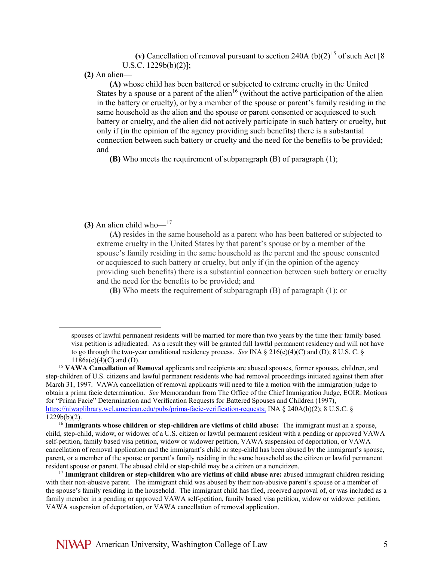(v) Cancellation of removal pursuant to section  $240A$  (b)(2)<sup>[15](#page-4-0)</sup> of such Act [8] U.S.C. 1229b(b)(2)];

**(2)** An alien—

**(A)** whose child has been battered or subjected to extreme cruelty in the United States by a spouse or a parent of the alien<sup>[16](#page-4-1)</sup> (without the active participation of the alien in the battery or cruelty), or by a member of the spouse or parent's family residing in the same household as the alien and the spouse or parent consented or acquiesced to such battery or cruelty, and the alien did not actively participate in such battery or cruelty, but only if (in the opinion of the agency providing such benefits) there is a substantial connection between such battery or cruelty and the need for the benefits to be provided; and

**(B)** Who meets the requirement of subparagraph (B) of paragraph (1);

**(3)** An alien child who— $17$ 

 $\overline{a}$ 

**(A)** resides in the same household as a parent who has been battered or subjected to extreme cruelty in the United States by that parent's spouse or by a member of the spouse's family residing in the same household as the parent and the spouse consented or acquiesced to such battery or cruelty, but only if (in the opinion of the agency providing such benefits) there is a substantial connection between such battery or cruelty and the need for the benefits to be provided; and

**(B)** Who meets the requirement of subparagraph (B) of paragraph (1); or

spouses of lawful permanent residents will be married for more than two years by the time their family based visa petition is adjudicated. As a result they will be granted full lawful permanent residency and will not have to go through the two-year conditional residency process. *See* INA § 216(c)(4)(C) and (D); 8 U.S. C. §  $1186a(c)(4)(C)$  and (D).

<span id="page-4-0"></span><sup>15</sup> **VAWA Cancellation of Removal** applicants and recipients are abused spouses, former spouses, children, and step-children of U.S. citizens and lawful permanent residents who had removal proceedings initiated against them after March 31, 1997. VAWA cancellation of removal applicants will need to file a motion with the immigration judge to obtain a prima facie determination. *See* Memorandum from The Office of the Chief Immigration Judge, EOIR: Motions for "Prima Facie" Determination and Verification Requests for Battered Spouses and Children (1997), [https://niwaplibrary.wcl.american.edu/pubs/prima-facie-verification-requests;](https://niwaplibrary.wcl.american.edu/pubs/prima-facie-verification-requests) INA § 240A(b)(2); 8 U.S.C. § 1229b(b)(2).

<span id="page-4-1"></span><sup>16</sup> **Immigrants whose children or step-children are victims of child abuse:** The immigrant must an a spouse, child, step-child, widow, or widower of a U.S. citizen or lawful permanent resident with a pending or approved VAWA self-petition, family based visa petition, widow or widower petition, VAWA suspension of deportation, or VAWA cancellation of removal application and the immigrant's child or step-child has been abused by the immigrant's spouse, parent, or a member of the spouse or parent's family residing in the same household as the citizen or lawful permanent resident spouse or parent. The abused child or step-child may be a citizen or a noncitizen. 17 **Immigrant children or step-children who are victims of child abuse are:** abused immigrant children residing

<span id="page-4-2"></span>with their non-abusive parent. The immigrant child was abused by their non-abusive parent's spouse or a member of the spouse's family residing in the household. The immigrant child has filed, received approval of, or was included as a family member in a pending or approved VAWA self-petition, family based visa petition, widow or widower petition, VAWA suspension of deportation, or VAWA cancellation of removal application.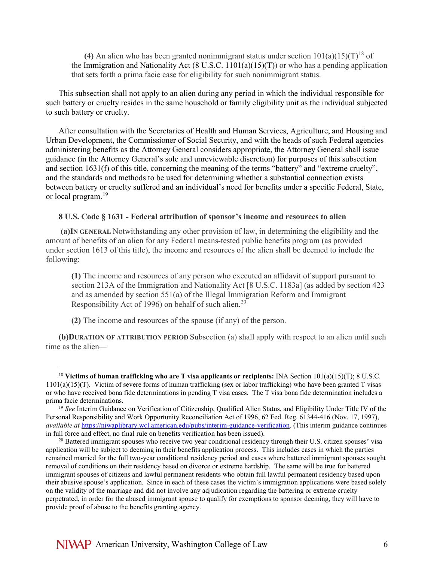(4) An alien who has been granted nonimmigrant status under section  $101(a)(15)(T)^{18}$  $101(a)(15)(T)^{18}$  $101(a)(15)(T)^{18}$  of the Immigration and Nationality Act  $(8 \text{ U.S.C. } 1101(a)(15)(T))$  or who has a pending application that sets forth a prima facie case for eligibility for such nonimmigrant status.

This subsection shall not apply to an alien during any period in which the individual responsible for such battery or cruelty resides in the same household or family eligibility unit as the individual subjected to such battery or cruelty.

After consultation with the Secretaries of Health and Human Services, Agriculture, and Housing and Urban Development, the Commissioner of Social Security, and with the heads of such Federal agencies administering benefits as the Attorney General considers appropriate, the Attorney General shall issue guidance (in the Attorney General's sole and unreviewable discretion) for purposes of this subsection and section 1631(f) of this title, concerning the meaning of the terms "battery" and "extreme cruelty", and the standards and methods to be used for determining whether a substantial connection exists between battery or cruelty suffered and an individual's need for benefits under a specific Federal, State, or local program.<sup>[19](#page-5-1)</sup>

# **8 U.S. Code § 1631 - Federal attribution of sponsor's income and resources to alien**

**(a)IN GENERAL** Notwithstanding any other provision of law, in determining the eligibility and the amount of benefits of an alien for any Federal means-tested public benefits program (as provided under section 1613 of this title), the income and resources of the alien shall be deemed to include the following:

**(1)** The income and resources of any person who executed an affidavit of support pursuant to section 213A of the Immigration and Nationality Act [8 U.S.C. 1183a] (as added by section 423 and as amended by section 551(a) of the Illegal Immigration Reform and Immigrant Responsibility Act of 1996) on behalf of such alien.<sup>[20](#page-5-2)</sup>

**(2)** The income and resources of the spouse (if any) of the person.

**(b)DURATION OF ATTRIBUTION PERIOD** Subsection (a) shall apply with respect to an alien until such time as the alien—

<span id="page-5-0"></span> <sup>18</sup> **Victims of human trafficking who are T visa applicants or recipients:** INA Section 101(a)(15)(T); 8 U.S.C.  $1101(a)(15)(T)$ . Victim of severe forms of human trafficking (sex or labor trafficking) who have been granted T visas or who have received bona fide determinations in pending T visa cases. The T visa bona fide determination includes a prima facie determinations. 19 *See* Interim Guidance on Verification of Citizenship, Qualified Alien Status, and Eligibility Under Title IV of the

<span id="page-5-1"></span>Personal Responsibility and Work Opportunity Reconciliation Act of 1996, 62 Fed. Reg. 61344-416 (Nov. 17, 1997), *available at* [https://niwaplibrary.wcl.american.edu/pubs/interim-guidance-verification.](https://niwaplibrary.wcl.american.edu/pubs/interim-guidance-verification) (This interim guidance continues in full force and effect, no final rule on benefits verification has been issued).

<span id="page-5-2"></span><sup>&</sup>lt;sup>20</sup> Battered immigrant spouses who receive two year conditional residency through their U.S. citizen spouses' visa application will be subject to deeming in their benefits application process. This includes cases in which the parties remained married for the full two-year conditional residency period and cases where battered immigrant spouses sought removal of conditions on their residency based on divorce or extreme hardship. The same will be true for battered immigrant spouses of citizens and lawful permanent residents who obtain full lawful permanent residency based upon their abusive spouse's application. Since in each of these cases the victim's immigration applications were based solely on the validity of the marriage and did not involve any adjudication regarding the battering or extreme cruelty perpetrated, in order for the abused immigrant spouse to qualify for exemptions to sponsor deeming, they will have to provide proof of abuse to the benefits granting agency.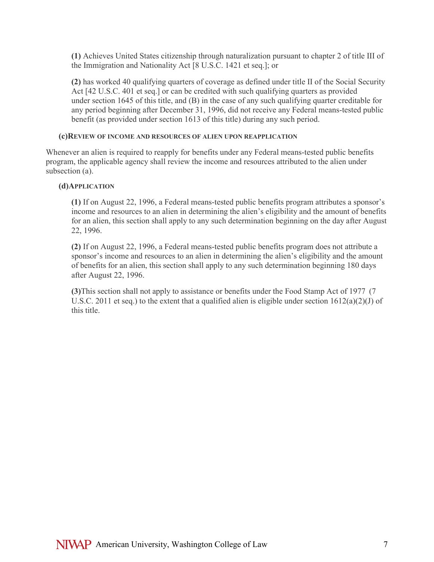**(1)** Achieves United States citizenship through naturalization pursuant to chapter 2 of title III of the Immigration and Nationality Act [8 U.S.C. 1421 et seq.]; or

**(2)** has worked 40 qualifying quarters of coverage as defined under title II of the Social Security Act [42 U.S.C. 401 et seq.] or can be credited with such qualifying quarters as provided under section 1645 of this title, and (B) in the case of any such qualifying quarter creditable for any period beginning after December 31, 1996, did not receive any Federal means-tested public benefit (as provided under section 1613 of this title) during any such period.

# **(c)REVIEW OF INCOME AND RESOURCES OF ALIEN UPON REAPPLICATION**

Whenever an alien is required to reapply for benefits under any Federal means-tested public benefits program, the applicable agency shall review the income and resources attributed to the alien under subsection (a).

# **(d)APPLICATION**

**(1)** If on August 22, 1996, a Federal means-tested public benefits program attributes a sponsor's income and resources to an alien in determining the alien's eligibility and the amount of benefits for an alien, this section shall apply to any such determination beginning on the day after August 22, 1996.

**(2)** If on August 22, 1996, a Federal means-tested public benefits program does not attribute a sponsor's income and resources to an alien in determining the alien's eligibility and the amount of benefits for an alien, this section shall apply to any such determination beginning 180 days after August 22, 1996.

**(3)**This section shall not apply to assistance or benefits under the Food Stamp Act of 1977  (7 U.S.C. 2011 et seq.) to the extent that a qualified alien is eligible under section  $1612(a)(2)(J)$  of this title.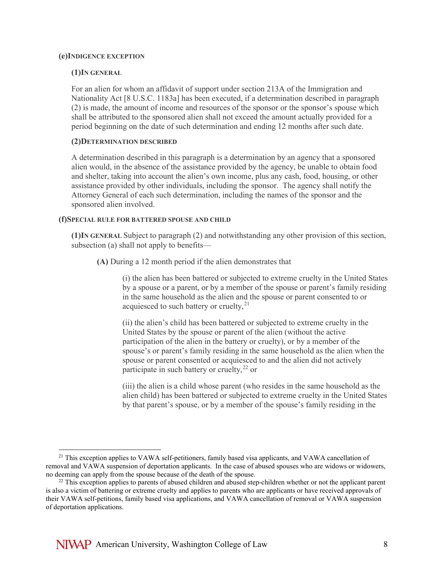### **(e)INDIGENCE EXCEPTION**

# **(1)IN GENERAL**

For an alien for whom an affidavit of support under section 213A of the Immigration and Nationality Act [8 U.S.C. 1183a] has been executed, if a determination described in paragraph (2) is made, the amount of income and resources of the sponsor or the sponsor's spouse which shall be attributed to the sponsored alien shall not exceed the amount actually provided for a period beginning on the date of such determination and ending 12 months after such date.

# **(2)DETERMINATION DESCRIBED**

A determination described in this paragraph is a determination by an agency that a sponsored alien would, in the absence of the assistance provided by the agency, be unable to obtain food and shelter, taking into account the alien's own income, plus any cash, food, housing, or other assistance provided by other individuals, including the sponsor. The agency shall notify the Attorney General of each such determination, including the names of the sponsor and the sponsored alien involved.

# **(f)SPECIAL RULE FOR BATTERED SPOUSE AND CHILD**

**(1)IN GENERAL** Subject to paragraph (2) and notwithstanding any other provision of this section, subsection (a) shall not apply to benefits—

**(A)** During a 12 month period if the alien demonstrates that

(i) the alien has been battered or subjected to extreme cruelty in the United States by a spouse or a parent, or by a member of the spouse or parent's family residing in the same household as the alien and the spouse or parent consented to or acquiesced to such battery or cruelty, $^{21}$  $^{21}$  $^{21}$ 

(ii) the alien's child has been battered or subjected to extreme cruelty in the United States by the spouse or parent of the alien (without the active participation of the alien in the battery or cruelty), or by a member of the spouse's or parent's family residing in the same household as the alien when the spouse or parent consented or acquiesced to and the alien did not actively participate in such battery or cruelty,<sup>[22](#page-7-1)</sup> or

(iii) the alien is a child whose parent (who resides in the same household as the alien child) has been battered or subjected to extreme cruelty in the United States by that parent's spouse, or by a member of the spouse's family residing in the

<span id="page-7-0"></span> $21$  This exception applies to VAWA self-petitioners, family based visa applicants, and VAWA cancellation of removal and VAWA suspension of deportation applicants. In the case of abused spouses who are widows or widowers, no deeming can apply from the spouse because of the death of the spouse.

<span id="page-7-1"></span> $^{22}$  This exception applies to parents of abused children and abused step-children whether or not the applicant parent is also a victim of battering or extreme cruelty and applies to parents who are applicants or have received approvals of their VAWA self-petitions, family based visa applications, and VAWA cancellation of removal or VAWA suspension of deportation applications.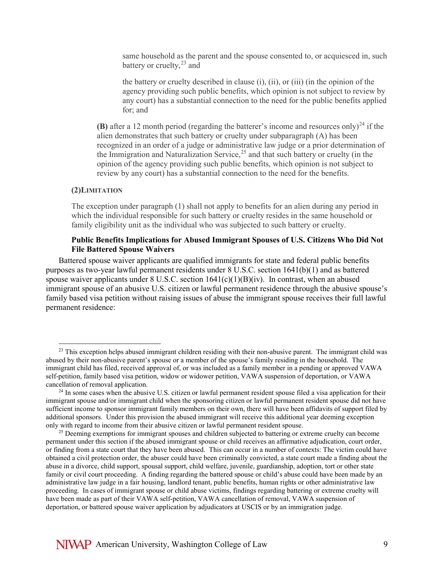same household as the parent and the spouse consented to, or acquiesced in, such battery or cruelty,<sup>[23](#page-8-0)</sup> and

the battery or cruelty described in clause (i), (ii), or (iii) (in the opinion of the agency providing such public benefits, which opinion is not subject to review by any court) has a substantial connection to the need for the public benefits applied for; and

**(B)** after a 12 month period (regarding the batterer's income and resources only)<sup>[24](#page-8-1)</sup> if the alien demonstrates that such battery or cruelty under subparagraph (A) has been recognized in an order of a judge or administrative law judge or a prior determination of the Immigration and Naturalization Service,<sup>[25](#page-8-2)</sup> and that such battery or cruelty (in the opinion of the agency providing such public benefits, which opinion is not subject to review by any court) has a substantial connection to the need for the benefits.

#### **(2)LIMITATION**

The exception under paragraph (1) shall not apply to benefits for an alien during any period in which the individual responsible for such battery or cruelty resides in the same household or family eligibility unit as the individual who was subjected to such battery or cruelty.

## **Public Benefits Implications for Abused Immigrant Spouses of U.S. Citizens Who Did Not File Battered Spouse Waivers**

Battered spouse waiver applicants are qualified immigrants for state and federal public benefits purposes as two-year lawful permanent residents under 8 U.S.C. section 1641(b)(1) and as battered spouse waiver applicants under  $8 \text{ U.S.C. section } 1641(c)(1)(B)(iv)$ . In contrast, when an abused immigrant spouse of an abusive U.S. citizen or lawful permanent residence through the abusive spouse's family based visa petition without raising issues of abuse the immigrant spouse receives their full lawful permanent residence:

<span id="page-8-0"></span><sup>&</sup>lt;sup>23</sup> This exception helps abused immigrant children residing with their non-abusive parent. The immigrant child was abused by their non-abusive parent's spouse or a member of the spouse's family residing in the household. The immigrant child has filed, received approval of, or was included as a family member in a pending or approved VAWA self-petition, family based visa petition, widow or widower petition, VAWA suspension of deportation, or VAWA cancellation of removal application.<br><sup>24</sup> In some cases when the abusive U.S. citizen or lawful permanent resident spouse filed a visa application for their

<span id="page-8-1"></span>immigrant spouse and/or immigrant child when the sponsoring citizen or lawful permanent resident spouse did not have sufficient income to sponsor immigrant family members on their own, there will have been affidavits of support filed by additional sponsors. Under this provision the abused immigrant will receive this additional year deeming exception only with regard to income from their abusive citizen or lawful permanent resident spouse.<br><sup>25</sup> Deeming exemptions for immigrant spouses and children subjected to battering or extreme cruelty can become

<span id="page-8-2"></span>permanent under this section if the abused immigrant spouse or child receives an affirmative adjudication, court order, or finding from a state court that they have been abused. This can occur in a number of contexts: The victim could have obtained a civil protection order, the abuser could have been criminally convicted, a state court made a finding about the abuse in a divorce, child support, spousal support, child welfare, juvenile, guardianship, adoption, tort or other state family or civil court proceeding. A finding regarding the battered spouse or child's abuse could have been made by an administrative law judge in a fair housing, landlord tenant, public benefits, human rights or other administrative law proceeding. In cases of immigrant spouse or child abuse victims, findings regarding battering or extreme cruelty will have been made as part of their VAWA self-petition, VAWA cancellation of removal, VAWA suspension of deportation, or battered spouse waiver application by adjudicators at USCIS or by an immigration judge.